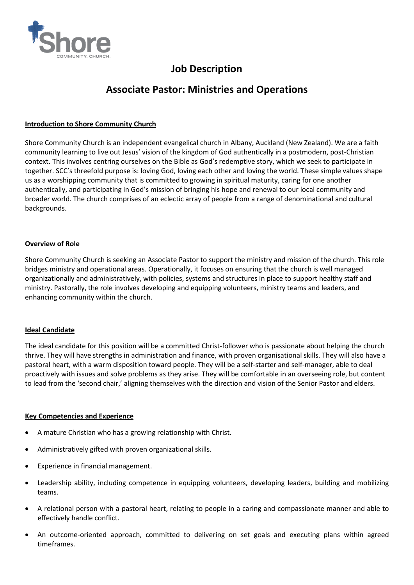

# **Job Description**

# **Associate Pastor: Ministries and Operations**

### **Introduction to Shore Community Church**

Shore Community Church is an independent evangelical church in Albany, Auckland (New Zealand). We are a faith community learning to live out Jesus' vision of the kingdom of God authentically in a postmodern, post-Christian context. This involves centring ourselves on the Bible as God's redemptive story, which we seek to participate in together. SCC's threefold purpose is: loving God, loving each other and loving the world. These simple values shape us as a worshipping community that is committed to growing in spiritual maturity, caring for one another authentically, and participating in God's mission of bringing his hope and renewal to our local community and broader world. The church comprises of an eclectic array of people from a range of denominational and cultural backgrounds.

### **Overview of Role**

Shore Community Church is seeking an Associate Pastor to support the ministry and mission of the church. This role bridges ministry and operational areas. Operationally, it focuses on ensuring that the church is well managed organizationally and administratively, with policies, systems and structures in place to support healthy staff and ministry. Pastorally, the role involves developing and equipping volunteers, ministry teams and leaders, and enhancing community within the church.

#### **Ideal Candidate**

The ideal candidate for this position will be a committed Christ-follower who is passionate about helping the church thrive. They will have strengths in administration and finance, with proven organisational skills. They will also have a pastoral heart, with a warm disposition toward people. They will be a self-starter and self-manager, able to deal proactively with issues and solve problems as they arise. They will be comfortable in an overseeing role, but content to lead from the 'second chair,' aligning themselves with the direction and vision of the Senior Pastor and elders.

#### **Key Competencies and Experience**

- A mature Christian who has a growing relationship with Christ.
- Administratively gifted with proven organizational skills.
- Experience in financial management.
- Leadership ability, including competence in equipping volunteers, developing leaders, building and mobilizing teams.
- A relational person with a pastoral heart, relating to people in a caring and compassionate manner and able to effectively handle conflict.
- An outcome-oriented approach, committed to delivering on set goals and executing plans within agreed timeframes.